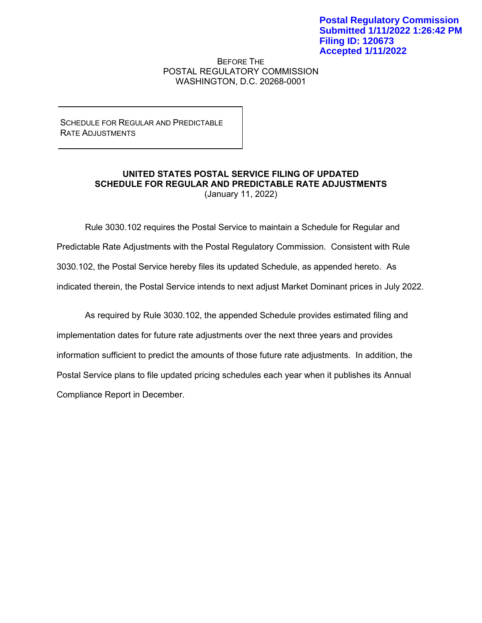BEFORE THE POSTAL REGULATORY COMMISSION WASHINGTON, D.C. 20268-0001

SCHEDULE FOR REGULAR AND PREDICTABLE RATE ADJUSTMENTS

## **UNITED STATES POSTAL SERVICE FILING OF UPDATED SCHEDULE FOR REGULAR AND PREDICTABLE RATE ADJUSTMENTS** (January 11, 2022)

Rule 3030.102 requires the Postal Service to maintain a Schedule for Regular and Predictable Rate Adjustments with the Postal Regulatory Commission. Consistent with Rule 3030.102, the Postal Service hereby files its updated Schedule, as appended hereto. As indicated therein, the Postal Service intends to next adjust Market Dominant prices in July 2022.

As required by Rule 3030.102, the appended Schedule provides estimated filing and implementation dates for future rate adjustments over the next three years and provides information sufficient to predict the amounts of those future rate adjustments. In addition, the Postal Service plans to file updated pricing schedules each year when it publishes its Annual Compliance Report in December.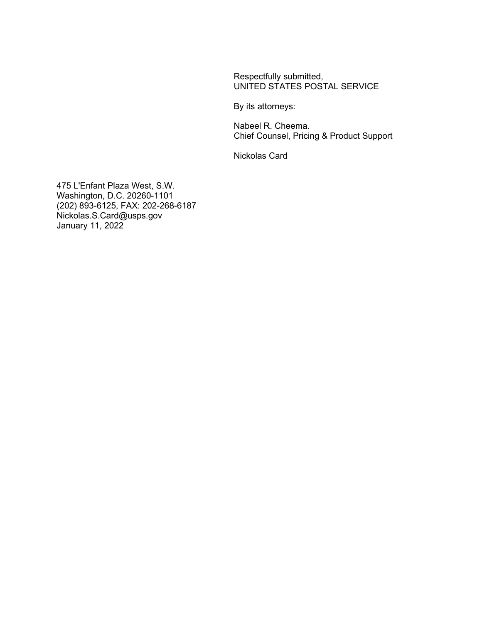Respectfully submitted, UNITED STATES POSTAL SERVICE

By its attorneys:

Nabeel R. Cheema. Chief Counsel, Pricing & Product Support

Nickolas Card

475 L'Enfant Plaza West, S.W. Washington, D.C. 20260-1101 (202) 893-6125, FAX: 202-268-6187 Nickolas.S.Card@usps.gov January 11, 2022